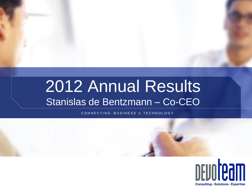# 2012 Annual Results Stanislas de Bentzmann – Co-CEO

C O N N E C T I N G B U S I N E S S **&** T E C H N O L O G Y

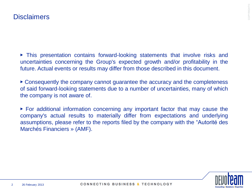▶ This presentation contains forward-looking statements that involve risks and uncertainties concerning the Group's expected growth and/or profitability in the future. Actual events or results may differ from those described in this document.

▶ Consequently the company cannot guarantee the accuracy and the completeness of said forward-looking statements due to a number of uncertainties, many of which the company is not aware of.

▶ For additional information concerning any important factor that may cause the company's actual results to materially differ from expectations and underlying assumptions, please refer to the reports filed by the company with the "Autorité des Marchés Financiers » (AMF).

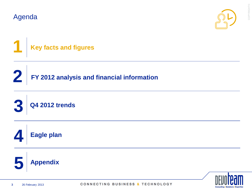**2**





**FY 2012 analysis and financial information**





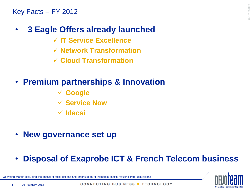Key Facts – FY 2012

# • **3 Eagle Offers already launched**

- **IT Service Excellence**
- **Network Transformation**
- **Cloud Transformation**

# • **Premium partnerships & Innovation**

- **Google**
- **Service Now**
- **Idecsi**
- **New governance set up**
- **Disposal of Exaprobe ICT & French Telecom business**

Margin excluding the impact of stock options and amortization of intangible assets resulting from acquisitions

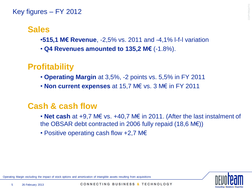#### Key figures – FY 2012

# **Sales**

- •**515,1 M€ Revenue**, -2,5% vs. 2011 and -4,1% l-f-l variation
- **Q4 Revenues amounted to 135,2 M€** (-1.8%).

# **Profitability**

- **Operating Margin** at 3,5%, -2 points vs. 5,5% in FY 2011
- **Non current expenses** at 15,7 M€ vs. 3 M€ in FY 2011

# **Cash & cash flow**

- **Net cash** at +9,7 M€ vs. +40,7 M€ in 2011. (After the last instalment of the OBSAR debt contracted in 2006 fully repaid (18,6 M€))
- Positive operating cash flow +2,7 M€



Operating Margin excluding the impact of stock options and amortization of intangible assets resulting from acquisitions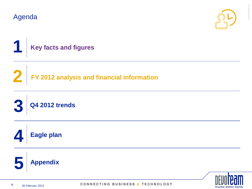**2**





**FY 2012 analysis and financial information**







COPYRIGHT©

COPYRIGHTO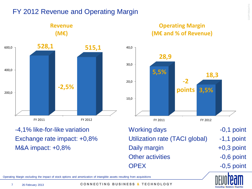# FY 2012 Revenue and Operating Margin



**Revenue**

-4,1% like-for-like variation Exchange rate impact: +0,8% M&A impact: +0,8%





Working days The Month Controller Controller and the Month Controller and Month Controller and Month Controller and Month Controller and Month Controller and Month Controller and Month Controller and Month Controller and M Utilization rate (TACI global) -1,1 point Daily margin  $+0.3$  point Other activities **contact 10-10-20 and 10-10-20 and 10-10-20 and 10-10-20 and 10-10-20 and 10-10-20 and 10-10-20 and 10-10-20 and 10-10-20 and 10-10-20 and 10-10-20 and 10-10-20 and 10-10-20 and 10-10-20 and 10-10-20 and 1** OPEX -0,5 point

- 
- 

Operating Margin excluding the impact of stock options and amortization of intangible assets resulting from acquisitions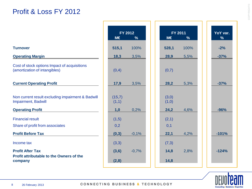# Profit & Loss FY 2012

|                                                                                 |                 | FY 2012       |                | <b>FY 2011</b> |
|---------------------------------------------------------------------------------|-----------------|---------------|----------------|----------------|
|                                                                                 | M€              | $\frac{9}{6}$ | M€             | $\frac{9}{6}$  |
| <b>Turnover</b>                                                                 | 515,1           | 100%          | 528,1          | 100%           |
| <b>Operating Margin</b>                                                         | 18,3            | 3,5%          | 28,9           | 5,5%           |
| Cost of stock options Impact of acquisitions<br>(amortization of intangibles)   | (0,4)           |               | (0,7)          |                |
| <b>Current Operating Profit</b>                                                 | 17,9            | 3,5%          | 28,2           | 5,3%           |
| Non current result excluding impairment & Badwill<br><b>Impairment, Badwill</b> | (15,7)<br>(1,1) |               | (3,0)<br>(1,0) |                |
| <b>Operating Profit</b>                                                         | 1,0             | 0,2%          | 24,2           | 4,6%           |
| <b>Financial result</b><br>Share of profit from associates                      | (1,5)<br>0,2    |               | (2,1)<br>0,1   |                |
| <b>Profit Before Tax</b>                                                        | (0, 3)          | $-0,1%$       | 22,1           | 4,2%           |
| Income tax                                                                      | (3,3)           |               | (7,3)          |                |
| <b>Profit After Tax</b><br>Profit attributable to the Owners of the             | (3,6)           | $-0,7%$       | 14,8           | 2,8%           |
| company                                                                         | (2,8)           |               | 14,8           |                |

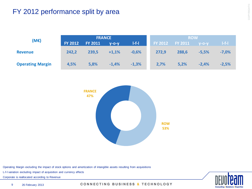# FY 2012 performance split by area

|                         | <b>FRANCE</b>  |                |             |         | <b>ROW</b>     |                |         |          |
|-------------------------|----------------|----------------|-------------|---------|----------------|----------------|---------|----------|
| (ME)                    | <b>FY 2012</b> | <b>FY 2011</b> | $V - O - V$ | $I-f-I$ | <b>FY 2012</b> | <b>FY 2011</b> | $Y-O-Y$ | $ $ -f-l |
| <b>Revenue</b>          | 242,2          | 239,5          | $+1,1%$     | $-0,6%$ | 272,9          | 288,6          | $-5,5%$ | $-7,0%$  |
| <b>Operating Margin</b> | 4,5%           | 5,8%           | $-1,4%$     | $-1,3%$ | 2,7%           | 5,2%           | $-2,4%$ | $-2,5%$  |



Operating Margin excluding the impact of stock options and amortization of intangible assets resulting from acquisitions

L-f-l variation excluding impact of acquisition and currency effects

Corporate is reallocated according to Revenue

**Consulting . Solutio** 

9 26 February 2013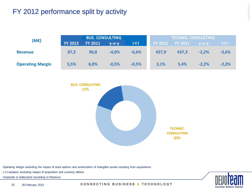# FY 2012 performance split by activity

|                         |                | <b>BUS. CONSULTING</b> |         |            |                | <b>TECHNO. CONSULTING</b> |             |         |
|-------------------------|----------------|------------------------|---------|------------|----------------|---------------------------|-------------|---------|
| (M€)                    | <b>FY 2012</b> | <b>FY 2011</b>         | $V-O-V$ | $  -f -  $ | <b>FY 2012</b> | <b>FY 2011</b>            | $V - O - V$ | $I-f-I$ |
| <b>Revenue</b>          | 87,2           | 90,8                   | $-4.0%$ | $-6,6%$    | 427,9          | 437.3                     | $-2.2%$     | $-3,6%$ |
| <b>Operating Margin</b> | 5,5%           | 6,0%                   | $-0,5%$ | $-0,5%$    | 3,1%           | 5,4%                      | $-2.2%$     | $-2,2%$ |



Operating Margin excluding the impact of stock options and amortization of intangible assets resulting from acquisitions

L-f-l variation excluding impact of acquisition and currency effects

Corporate is reallocated according to Revenue

**Consulting . Soluti** 

10 26 February 2013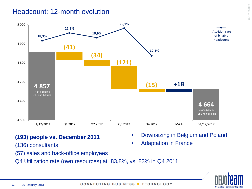### Headcount: 12-month evolution



- **(193) people vs. December 2011**
- (136) consultants
- Adaptation in France
- (57) sales and back-office employees
- Q4 Utilization rate (own resources) at 83,8%, vs. 83% in Q4 2011



• Downsizing in Belgium and Poland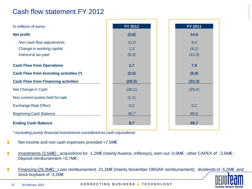# Cash flow statement FY 2012

| In millions of euros                       | FY 2012 | FY 2011 |
|--------------------------------------------|---------|---------|
| <b>Net profit</b>                          | (3,6)   | 14,8    |
| Non cash flow adjustments                  | 11,0    | 9,4     |
| Change in working capital                  | 1,3     | (4, 1)  |
| Interest & tax paid                        | (6, 0)  | (12,3)  |
| <b>Cash Flow from Operations</b>           | 2,7     | 7,9     |
| Cash Flow from Investing activities (*)    | (3,5)   | (5,0)   |
| <b>Cash Flow from Financing activities</b> | (29, 3) | (32,3)  |
| Net Change in Cash                         | (30,1)  | (29, 4) |
| Non current assets held for sale           | (1,1)   |         |
| <b>Exchange Rate Effect</b>                | 0,2     | 0,2     |
| <b>Beginning Cash Balance</b>              | 40,7    | 69,9    |
| <b>Ending Cash Balance</b>                 | 9,7     | 40,7    |

*\* excluding purely financial investments considered as cash equivalents*

- Net income and non cash expenses provided +7,5M€ П
- Investments (3,5M€) : acquisitions for -1,2M€ (mainly Axance, Inflexsys), earn out -0,9M€ ; other CAPEX of -2,6M€ ; П Deposit reimbursement +0,7M€ ;
- Financing (29,3M€) : Loan reimbursement -21,2M€ (mainly November OBSAR reimbursement); dividends of -5,2M€ and П stock buyback of -3,2M€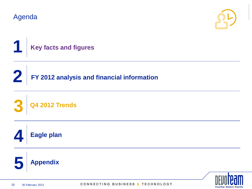**2**



COPYRIGHT©

COPYRIGHTO



**FY 2012 analysis and financial information**

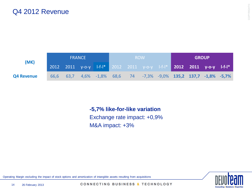

**-5,7% like-for-like variation** Exchange rate impact: +0,9% M&A impact: +3%

Operating Margin excluding the impact of stock options and amortization of intangible assets resulting from acquisitions

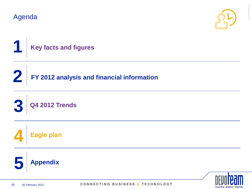**2**





**FY 2012 analysis and financial information**





COPYRIGHT©

COPYRIGHTO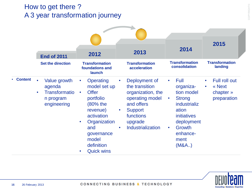# How to get there ? A 3 year transformation journey

|                |                                                                                                      |                                                                                                                                                                                                                |                                                                                                                                                                                       |                                                                                                                                                                                       | 2015                                                                          |
|----------------|------------------------------------------------------------------------------------------------------|----------------------------------------------------------------------------------------------------------------------------------------------------------------------------------------------------------------|---------------------------------------------------------------------------------------------------------------------------------------------------------------------------------------|---------------------------------------------------------------------------------------------------------------------------------------------------------------------------------------|-------------------------------------------------------------------------------|
|                | <b>End of 2011</b><br><b>Set the direction</b>                                                       | 2012<br><b>Transformation</b><br>foundations and<br>launch                                                                                                                                                     | 2013<br><b>Transformation</b><br>acceleration                                                                                                                                         | 2014<br><b>Transformation</b><br>consolidation                                                                                                                                        | <b>Transformation</b><br>landing                                              |
| <b>Content</b> | Value growth<br>$\bullet$<br>agenda<br><b>Transformatio</b><br>$\bullet$<br>n program<br>engineering | <b>Operating</b><br>$\bullet$<br>model set up<br><b>Offer</b><br>$\bullet$<br>portfolio<br>(80% the<br>revenue)<br>activation<br>Organization<br>and<br>governance<br>model<br>definition<br><b>Quick wins</b> | Deployment of<br>the transition<br>organization, the<br>operating model<br>and offers<br><b>Support</b><br>$\bullet$<br>functions<br>upgrade<br><b>Industrialization</b><br>$\bullet$ | Full<br>$\bullet$<br>organiza-<br>tion model<br><b>Strong</b><br>$\bullet$<br>industrializ<br>ation<br>initiatives<br>deployment<br>Growth<br>$\bullet$<br>enhance-<br>ment<br>(M&A.) | Full roll out<br>$\bullet$<br>« Next<br>$\bullet$<br>chapter »<br>preparation |

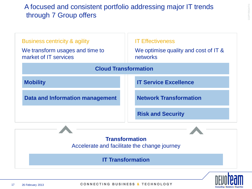# A focused and consistent portfolio addressing major IT trends through 7 Group offers

| <b>Business centricity &amp; agility</b><br>We transform usages and time to<br>market of IT services | <b>IT Effectiveness</b><br>We optimise quality and cost of IT &<br>networks |
|------------------------------------------------------------------------------------------------------|-----------------------------------------------------------------------------|
| <b>Cloud Transformation</b>                                                                          |                                                                             |
| <b>Mobility</b>                                                                                      | <b>IT Service Excellence</b>                                                |
| Data and Information management                                                                      | <b>Network Transformation</b>                                               |
|                                                                                                      | <b>Risk and Security</b>                                                    |
|                                                                                                      | <b>Transformation</b><br>Accelerate and facilitate the change journey       |

**IT Transformation**

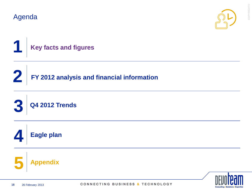**2**



COPYRIGHT©

COPYRIGHTO



**FY 2012 analysis and financial information**





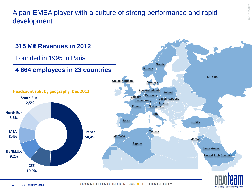# A pan-EMEA player with a culture of strong performance and rapid development

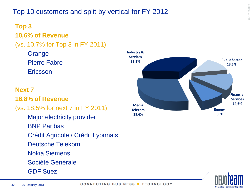# Top 10 customers and split by vertical for FY 2012

# **Top 3**

# **10,6% of Revenue**

# (vs. 10,7% for Top 3 in FY 2011)

**Orange** Pierre Fabre Ericsson

#### **Next 7**

### **16,8% of Revenue**

# (vs. 18,5% for next 7 in FY 2011)

Major electricity provider

- BNP Paribas
- Crédit Agricole / Crédit Lyonnais
- Deutsche Telekom
- Nokia Siemens
- Société Générale
- GDF Suez



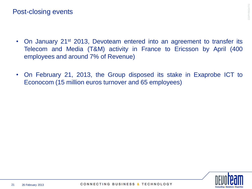- On January 21<sup>st</sup> 2013, Devoteam entered into an agreement to transfer its Telecom and Media (T&M) activity in France to Ericsson by April (400 employees and around 7% of Revenue)
- On February 21, 2013, the Group disposed its stake in Exaprobe ICT to Econocom (15 million euros turnover and 65 employees)

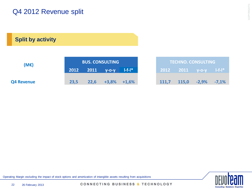# Q4 2012 Revenue split

**Split by activity**

| (ME)              |      |                 | <b>BUS. CONSULTING</b> |              |       |       | <b>TECHNO. CONSULTING</b>                                   |         |
|-------------------|------|-----------------|------------------------|--------------|-------|-------|-------------------------------------------------------------|---------|
|                   |      | 2012 2011 y-o-y |                        | $  -f -  $ * |       |       | , 2012 $\,$ 2011 $\,$ y-o-y $\,$ I-f-I $^{\ast}$ $^{\circ}$ |         |
| <b>Q4 Revenue</b> | 23,5 | 22,6            | $+3,8\%$ $+1,6\%$      |              | 111,7 | 115,0 | $-2,9\%$                                                    | $-7,1%$ |

Operating Margin excluding the impact of stock options and amortization of intangible assets resulting from acquisitions

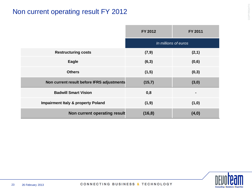# Non current operating result FY 2012

|                                               | <b>FY 2012</b> | FY 2011              |
|-----------------------------------------------|----------------|----------------------|
|                                               |                | In millions of euros |
| <b>Restructuring costs</b>                    | (7, 9)         | (2,1)                |
| Eagle                                         | (6,3)          | (0,6)                |
| <b>Others</b>                                 | (1,5)          | (0,3)                |
| Non current result before IFRS adjustments    | (15,7)         | (3,0)                |
| <b>Badwill Smart Vision</b>                   | 0,8            |                      |
| <b>Impairment Italy &amp; property Poland</b> | (1, 9)         | (1,0)                |
| Non current operating result                  | (16, 8)        | (4,0)                |

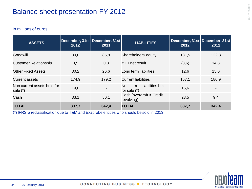# Balance sheet presentation FY 2012

#### In millions of euros

| <b>ASSETS</b>                           | December, 31st   December, 31st  <br>2012 | 2011  | <b>LIABILITIES</b>                             | December, 31st December, 31st<br>2012 | 2011  |
|-----------------------------------------|-------------------------------------------|-------|------------------------------------------------|---------------------------------------|-------|
| Goodwill                                | 80,0                                      | 85,8  | Shareholders' equity                           | 131,5                                 | 122,3 |
| <b>Customer Relationship</b>            | 0,5                                       | 0,8   | <b>YTD</b> net result                          | (3,6)                                 | 14,8  |
| <b>Other Fixed Assets</b>               | 30,2                                      | 26,6  | Long term liabilities                          | 12,6                                  | 15,0  |
| <b>Current assets</b>                   | 174,9                                     | 179,2 | <b>Current liabilities</b>                     | 157,1                                 | 180,9 |
| Non current assets held for<br>sale (*) | 19,0                                      |       | Non current liabilities held<br>for sale $(*)$ | 16.6                                  |       |
| Cash                                    | 33,1                                      | 50,1  | Cash (overdraft & Credit<br>revolving)         | 23,5                                  | 9,4   |
| <b>TOTAL</b>                            | 337,7                                     | 342,4 | <b>TOTAL</b>                                   | 337,7                                 | 342,4 |

(\*) IFRS 5 reclassification due to T&M and Exaprobe entities who should be sold in 2013



COPYRIGHT©

COPYRIGHTO

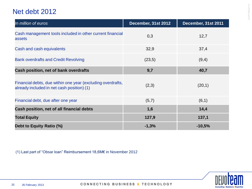# Net debt 2012

| In million of euros                                                                                       | December, 31st 2012 | December, 31st 2011 |
|-----------------------------------------------------------------------------------------------------------|---------------------|---------------------|
| Cash management tools included in other current financial<br>assets                                       | 0,3                 | 12,7                |
| Cash and cash equivalents                                                                                 | 32,9                | 37,4                |
| <b>Bank overdrafts and Credit Revolving</b>                                                               | (23,5)              | (9,4)               |
| Cash position, net of bank overdrafts                                                                     | 9,7                 | 40,7                |
| Financial debts, due within one year (excluding overdrafts,<br>already included in net cash position) (1) | (2,3)               | (20,1)              |
| Financial debt, due after one year                                                                        | (5,7)               | (6,1)               |
| Cash position, net of all financial debts                                                                 | 1,6                 | 14,4                |
| <b>Total Equity</b>                                                                                       | 127,9               | 137,1               |
| Debt to Equity Ratio (%)                                                                                  | $-1,3%$             | $-10,5%$            |

(1) Last part of "Obsar loan" Reimbursement 18,6M€ in November 2012